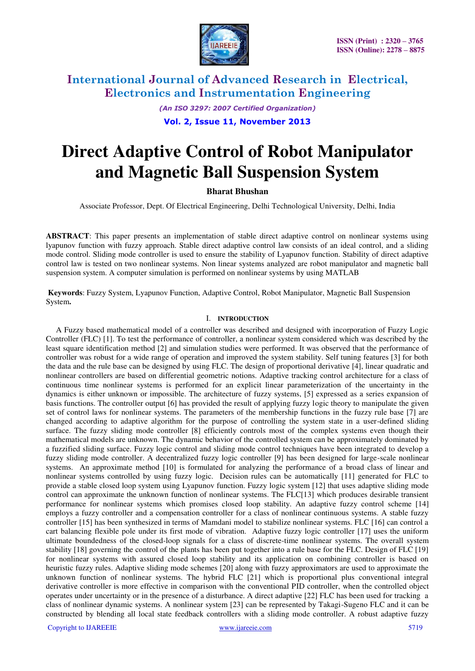

*(An ISO 3297: 2007 Certified Organization)* 

### **Vol. 2, Issue 11, November 2013**

# **Direct Adaptive Control of Robot Manipulator and Magnetic Ball Suspension System**

## **Bharat Bhushan**

Associate Professor, Dept. Of Electrical Engineering, Delhi Technological University, Delhi, India

**ABSTRACT**: This paper presents an implementation of stable direct adaptive control on nonlinear systems using lyapunov function with fuzzy approach. Stable direct adaptive control law consists of an ideal control, and a sliding mode control. Sliding mode controller is used to ensure the stability of Lyapunov function. Stability of direct adaptive control law is tested on two nonlinear systems. Non linear systems analyzed are robot manipulator and magnetic ball suspension system. A computer simulation is performed on nonlinear systems by using MATLAB

 **Keywords**: Fuzzy System, Lyapunov Function, Adaptive Control, Robot Manipulator, Magnetic Ball Suspension System**.** 

#### I. **INTRODUCTION**

 A Fuzzy based mathematical model of a controller was described and designed with incorporation of Fuzzy Logic Controller (FLC) [1]. To test the performance of controller, a nonlinear system considered which was described by the least square identification method [2] and simulation studies were performed. It was observed that the performance of controller was robust for a wide range of operation and improved the system stability. Self tuning features [3] for both the data and the rule base can be designed by using FLC. The design of proportional derivative [4], linear quadratic and nonlinear controllers are based on differential geometric notions. Adaptive tracking control architecture for a class of continuous time nonlinear systems is performed for an explicit linear parameterization of the uncertainty in the dynamics is either unknown or impossible. The architecture of fuzzy systems, [5] expressed as a series expansion of basis functions. The controller output [6] has provided the result of applying fuzzy logic theory to manipulate the given set of control laws for nonlinear systems. The parameters of the membership functions in the fuzzy rule base [7] are changed according to adaptive algorithm for the purpose of controlling the system state in a user-defined sliding surface. The fuzzy sliding mode controller [8] efficiently controls most of the complex systems even though their mathematical models are unknown. The dynamic behavior of the controlled system can be approximately dominated by a fuzzified sliding surface. Fuzzy logic control and sliding mode control techniques have been integrated to develop a fuzzy sliding mode controller. A decentralized fuzzy logic controller [9] has been designed for large-scale nonlinear systems. An approximate method [10] is formulated for analyzing the performance of a broad class of linear and nonlinear systems controlled by using fuzzy logic. Decision rules can be automatically [11] generated for FLC to provide a stable closed loop system using Lyapunov function. Fuzzy logic system [12] that uses adaptive sliding mode control can approximate the unknown function of nonlinear systems. The FLC[13] which produces desirable transient performance for nonlinear systems which promises closed loop stability. An adaptive fuzzy control scheme [14] employs a fuzzy controller and a compensation controller for a class of nonlinear continuous systems. A stable fuzzy controller [15] has been synthesized in terms of Mamdani model to stabilize nonlinear systems. FLC [16] can control a cart balancing flexible pole under its first mode of vibration. Adaptive fuzzy logic controller [17] uses the uniform ultimate boundedness of the closed-loop signals for a class of discrete-time nonlinear systems. The overall system stability [18] governing the control of the plants has been put together into a rule base for the FLC. Design of FLC [19] for nonlinear systems with assured closed loop stability and its application on combining controller is based on heuristic fuzzy rules. Adaptive sliding mode schemes [20] along with fuzzy approximators are used to approximate the unknown function of nonlinear systems. The hybrid FLC [21] which is proportional plus conventional integral derivative controller is more effective in comparison with the conventional PID controller, when the controlled object operates under uncertainty or in the presence of a disturbance. A direct adaptive [22] FLC has been used for tracking a class of nonlinear dynamic systems. A nonlinear system [23] can be represented by Takagi-Sugeno FLC and it can be constructed by blending all local state feedback controllers with a sliding mode controller. A robust adaptive fuzzy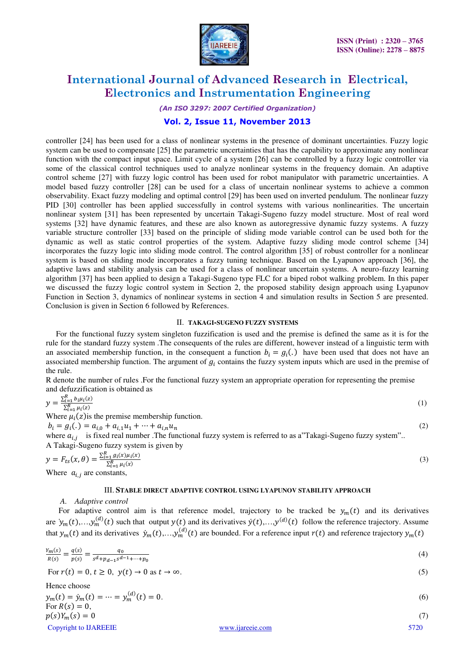

*(An ISO 3297: 2007 Certified Organization)* 

### **Vol. 2, Issue 11, November 2013**

controller [24] has been used for a class of nonlinear systems in the presence of dominant uncertainties. Fuzzy logic system can be used to compensate [25] the parametric uncertainties that has the capability to approximate any nonlinear function with the compact input space. Limit cycle of a system [26] can be controlled by a fuzzy logic controller via some of the classical control techniques used to analyze nonlinear systems in the frequency domain. An adaptive control scheme [27] with fuzzy logic control has been used for robot manipulator with parametric uncertainties. A model based fuzzy controller [28] can be used for a class of uncertain nonlinear systems to achieve a common observability. Exact fuzzy modeling and optimal control [29] has been used on inverted pendulum. The nonlinear fuzzy PID [30] controller has been applied successfully in control systems with various nonlinearities. The uncertain nonlinear system [31] has been represented by uncertain Takagi-Sugeno fuzzy model structure. Most of real word systems [32] have dynamic features, and these are also known as autoregressive dynamic fuzzy systems. A fuzzy variable structure controller [33] based on the principle of sliding mode variable control can be used both for the dynamic as well as static control properties of the system. Adaptive fuzzy sliding mode control scheme [34] incorporates the fuzzy logic into sliding mode control. The control algorithm [35] of robust controller for a nonlinear system is based on sliding mode incorporates a fuzzy tuning technique. Based on the Lyapunov approach [36], the adaptive laws and stability analysis can be used for a class of nonlinear uncertain systems. A neuro-fuzzy learning algorithm [37] has been applied to design a Takagi-Sugeno type FLC for a biped robot walking problem. In this paper we discussed the fuzzy logic control system in Section 2, the proposed stability design approach using Lyapunov Function in Section 3, dynamics of nonlinear systems in section 4 and simulation results in Section 5 are presented. Conclusion is given in Section 6 followed by References.

#### II. **TAKAGI-SUGENO FUZZY SYSTEMS**

 For the functional fuzzy system singleton fuzzification is used and the premise is defined the same as it is for the rule for the standard fuzzy system .The consequents of the rules are different, however instead of a linguistic term with an associated membership function, in the consequent a function  $b_i = g_i(.)$  have been used that does not have an associated membership function. The argument of  $g_i$  contains the fuzzy system inputs which are used in the premise of the rule.

R denote the number of rules .For the functional fuzzy system an appropriate operation for representing the premise and defuzzification is obtained as

$$
y = \frac{\sum_{i=1}^{R} b_i \mu_i(z)}{\sum_{i=1}^{R} \mu_i(z)}
$$
(1)  
Where  $\mu_i(z)$  is the premise membership function.  
 $b_i = g_i(.) = a_{i,0} + a_{i,1}u_1 + \dots + a_{i,n}u_n$   
where  $a_{i,j}$  is fixed real number. The functional fuzzy system is referred to as a"Takagi-Sugeno fuzzy system".  
A Takagi-Sugeno fuzzy system is given by

$$
y = F_{ts}(x, \theta) = \frac{\sum_{i=1}^{R} g_i(x)\mu_i(x)}{\sum_{i=1}^{R} \mu_i(x)}
$$
  
Where  $a_{i,j}$  are constants, (3)

#### III. **STABLE DIRECT ADAPTIVE CONTROL USING LYAPUNOV STABILITY APPROACH**

#### *A. Adaptive control*

For adaptive control aim is that reference model, trajectory to be tracked be  $y_m(t)$  and its derivatives are  $\dot{y}_m(t),...,\dot{y}_m^{(d)}(t)$  such that output  $y(t)$  and its derivatives  $\dot{y}(t),...,\dot{y}^{(d)}(t)$  follow the reference trajectory. Assume that  $y_m(t)$  and its derivatives  $\dot{y}_m(t),..., y_m^{(d)}(t)$  are bounded. For a reference input  $r(t)$  and reference trajectory  $y_m(t)$ 

$$
\frac{Y_m(s)}{R(s)} = \frac{q(s)}{p(s)} = \frac{q_0}{s^d + p_{d-1}s^{d-1} + \dots + p_0}
$$
\n(4)

For 
$$
r(t) = 0, t \ge 0, y(t) \to 0
$$
 as  $t \to \infty$ . (5)

Hence choose  
\n
$$
y_m(t) = \dot{y}_m(t) = \dots = y_m^{(d)}(t) = 0.
$$
  
\nFor  $R(s) = 0$ ,  
\n $p(s)Y_m(s) = 0$  (7)

Copyright to IJAREEIE www.ijareeie.com 5720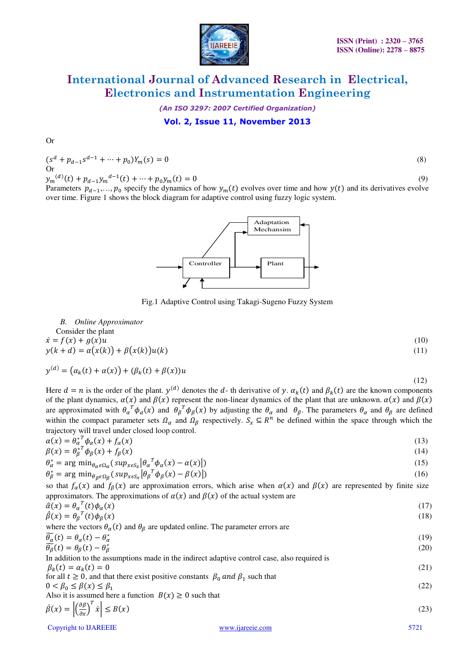

*(An ISO 3297: 2007 Certified Organization)* 

### **Vol. 2, Issue 11, November 2013**

Or

$$
(sd + pd-1sd-1 + \dots + p0)Ym(s) = 0
$$
\n
$$
(8)
$$

 $y_m^{(d)}(t) + p_{d-1}y_m^{(d-1)}(t) + \dots + p_0y_m(t) = 0$  (9)

Parameters  $p_{d-1},..., p_0$  specify the dynamics of how  $y_m(t)$  evolves over time and how  $y(t)$  and its derivatives evolve over time. Figure 1 shows the block diagram for adaptive control using fuzzy logic system.



Fig.1 Adaptive Control using Takagi-Sugeno Fuzzy System

*B. Online Approximator*  Consider the plant  $\dot{x} = f(x) + g(x)u$  (10)  $y(k + d) = \alpha(x(k)) + \beta(x(k))u(k)$  (11)

$$
y^{(d)} = (\alpha_k(t) + \alpha(x)) + (\beta_k(t) + \beta(x))u
$$

Here  $d = n$  is the order of the plant.  $y^{(d)}$  denotes the d- th derivative of y.  $\alpha_k(t)$  and  $\beta_k(t)$  are the known components of the plant dynamics,  $\alpha(x)$  and  $\beta(x)$  represent the non-linear dynamics of the plant that are unknown.  $\alpha(x)$  and  $\beta(x)$ are approximated with  $\theta_{\alpha}^T \phi_{\alpha}(x)$  and  $\theta_{\beta}^T \phi_{\beta}(x)$  by adjusting the  $\theta_{\alpha}$  and  $\theta_{\beta}$ . The parameters  $\theta_{\alpha}$  and  $\theta_{\beta}$  are defined within the compact parameter sets  $\Omega_{\alpha}$  and  $\Omega_{\beta}$  respectively.  $S_{\alpha} \subseteq R^{n}$  be defined within the space through which the trajectory will travel under closed loop control.

 $(12)$ 

$$
\alpha(x) = \theta_{\alpha}^{*^T} \phi_{\alpha}(x) + f_{\alpha}(x) \tag{13}
$$
\n
$$
\beta(x) = \theta_{\beta}^{*^T} \phi_{\beta}(x) + f_{\beta}(x) \tag{14}
$$

$$
\theta_{\alpha}^{*} = \arg \min_{\theta_{\alpha} \in \Omega_{\alpha}} (\sup_{x \in S_{x}} |\theta_{\alpha}^{T} \phi_{\alpha}(x) - \alpha(x)|)
$$
\n
$$
\theta_{\beta}^{*} = \arg \min_{\theta_{\beta} \in \Omega_{\beta}} (\sup_{x \in S_{x}} |\theta_{\beta}^{T} \phi_{\beta}(x) - \beta(x)|)
$$
\n(15)

so that  $f_\alpha(x)$  and  $f_\beta(x)$  are approximation errors, which arise when  $\alpha(x)$  and  $\beta(x)$  are represented by finite size approximators. The approximations of  $\alpha(x)$  and  $\beta(x)$  of the actual system are

| $\hat{\alpha}(x) = \theta_{\alpha}^{T}(t)\phi_{\alpha}(x)$ | (17)            |
|------------------------------------------------------------|-----------------|
| $\hat{a} \leftrightarrow a \hat{a}$                        | 10 <sup>1</sup> |

| $\hat{\beta}(x) = \theta_{\beta}^{T}(t)\phi_{\beta}(x)$                                                  | (18) |
|----------------------------------------------------------------------------------------------------------|------|
| where the vectors $\theta_{\alpha}(t)$ and $\theta_{\beta}$ are updated online. The parameter errors are |      |
| $\widetilde{\theta_{\alpha}}(t) = \theta_{\alpha}(t) - \theta_{\alpha}^{*}$                              | (19) |
| $\widetilde{\theta_{\beta}}(t) = \theta_{\beta}(t) - \theta_{\beta}^*$                                   | (20) |

In addition to the assumptions made in the indirect adaptive control case, also required is  
\n
$$
\beta_k(t) = \alpha_k(t) = 0
$$
\nfor all  $t \ge 0$ , and that there exist positive constants  $\beta_0$  and  $\beta_1$  such that\n
$$
0 < \beta_0 \le \beta(x) \le \beta_1
$$
\nAlso it is assumed here a function  $B(x) \ge 0$  such that\n
$$
\beta(\lambda) = |(\partial \beta)^T| \cdot |(\partial \beta)^T| \le 0
$$
\n(22)

$$
\dot{\beta}(x) = \left| \left( \frac{\partial \beta}{\partial x} \right)^{t} \dot{x} \right| \le B(x) \tag{23}
$$

Copyright to IJAREEIE www.ijareeie.com 5721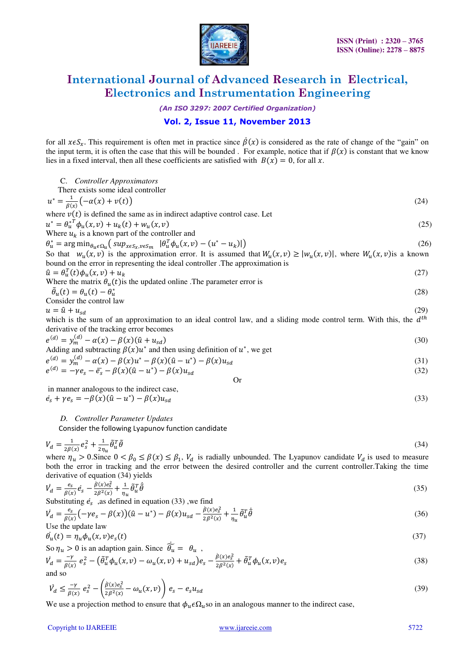

*(An ISO 3297: 2007 Certified Organization)* 

## **Vol. 2, Issue 11, November 2013**

for all  $x \in S_x$ . This requirement is often met in practice since  $\beta(x)$  is considered as the rate of change of the "gain" on the input term, it is often the case that this will be bounded. For example, notice that if  $\beta(x)$  is constant that we know lies in a fixed interval, then all these coefficients are satisfied with  $B(x) = 0$ , for all x.

| C. Controller Approximators                                                                                                                                                                                                                                                                                  |      |
|--------------------------------------------------------------------------------------------------------------------------------------------------------------------------------------------------------------------------------------------------------------------------------------------------------------|------|
| There exists some ideal controller                                                                                                                                                                                                                                                                           |      |
| $u^* = \frac{1}{\beta(x)} (-\alpha(x) + v(t))$                                                                                                                                                                                                                                                               | (24) |
| where $v(t)$ is defined the same as in indirect adaptive control case. Let                                                                                                                                                                                                                                   |      |
| $u^* = \theta_u^* \phi_u(x, v) + u_k(t) + w_u(x, v)$                                                                                                                                                                                                                                                         | (25) |
| Where $u_k$ is a known part of the controller and                                                                                                                                                                                                                                                            |      |
| $\theta_u^* = \arg\min_{\theta_u \in \Omega_u} \left( \sup_{x \in S_x, v \in S_m}  \theta_u^T \phi_u(x, v) - (u^* - u_k)  \right)$                                                                                                                                                                           | (26) |
| So that $w_u(x, v)$ is the approximation error. It is assumed that $W_u(x, v) \ge  w_u(x, v) $ , where $W_u(x, v)$ is a known<br>bound on the error in representing the ideal controller. The approximation is                                                                                               |      |
| $\hat{u} = \theta_u^T(t)\phi_u(x,v) + u_k$                                                                                                                                                                                                                                                                   | (27) |
| Where the matrix $\theta_u(t)$ is the updated online. The parameter error is                                                                                                                                                                                                                                 |      |
| $\tilde{\theta}_u(t) = \theta_u(t) - \theta_u^*$                                                                                                                                                                                                                                                             | (28) |
| Consider the control law                                                                                                                                                                                                                                                                                     |      |
| $u = \hat{u} + u_{sd}$                                                                                                                                                                                                                                                                                       | (29) |
| which is the sum of an approximation to an ideal control law, and a sliding mode control term. With this, the $dth$                                                                                                                                                                                          |      |
| derivative of the tracking error becomes                                                                                                                                                                                                                                                                     |      |
| $e^{(d)} = y_m^{(d)} - \alpha(x) - \beta(x)(\hat{u} + u_{sd})$                                                                                                                                                                                                                                               | (30) |
| Adding and subtracting $\beta(x)u^*$ and then using definition of $u^*$ , we get                                                                                                                                                                                                                             |      |
| $e^{(d)} = y_m^{(d)} - \alpha(x) - \beta(x)u^* - \beta(x)(\hat{u} - u^*) - \beta(x)u_{sd}$                                                                                                                                                                                                                   | (31) |
| $e^{(d)} = -\gamma e_s - \bar{e}_s - \beta(x)(\hat{u} - u^*) - \beta(x)u_{sd}$                                                                                                                                                                                                                               | (32) |
| <b>Or</b>                                                                                                                                                                                                                                                                                                    |      |
| in manner analogous to the indirect case,                                                                                                                                                                                                                                                                    |      |
| $\dot{e}_s + \gamma e_s = -\beta(x)(\hat{u} - u^*) - \beta(x)u_{sd}$                                                                                                                                                                                                                                         | (33) |
| D. Controller Parameter Updates                                                                                                                                                                                                                                                                              |      |
| Consider the following Lyapunov function candidate                                                                                                                                                                                                                                                           |      |
| $V_d = \frac{1}{2R(r)} e_s^2 + \frac{1}{2r} \tilde{\theta}_u^T \tilde{\theta}$                                                                                                                                                                                                                               | (34) |
| where $\eta_u > 0$ . Since $0 < \beta_0 \le \beta(x) \le \beta_1$ , $V_d$ is radially unbounded. The Lyapunov candidate $V_d$ is used to measure<br>both the error in tracking and the error between the desired controller and the current controller.Taking the time<br>derivative of equation (34) yields |      |
| $\dot{V}_d = \frac{e_s}{\beta(x)} \dot{e}_s - \frac{\dot{\beta}(x) e_s^2}{2 \beta^2(x)} + \frac{1}{\eta_u} \tilde{\theta}_u^T \dot{\tilde{\theta}}$                                                                                                                                                          | (35) |

Substituting 
$$
\dot{e}_s
$$
, as defined in equation (33), we find

$$
\dot{V}_d = \frac{e_s}{\beta(x)} \left( -\gamma e_s - \beta(x) \right) (\hat{u} - u^*) - \beta(x) u_{sd} - \frac{\hat{\beta}(x) e_s^2}{2\beta^2(x)} + \frac{1}{\eta_u} \tilde{\theta}_u^T \dot{\tilde{\theta}} \tag{36}
$$
\nUse the update law

$$
\theta_u(t) = \eta_u \phi_u(x, v) e_s(t) \tag{37}
$$

So 
$$
\eta_u > 0
$$
 is an adaptation gain. Since  $\overline{\theta_u} = \theta_u$ ,  
\n
$$
\dot{V}_d = \frac{-\gamma}{\beta(x)} e_s^2 - (\tilde{\theta}_u^T \phi_u(x, v) - \omega_u(x, v) + u_{sd}) e_s - \frac{\beta(x) e_s^2}{2\beta^2(x)} + \tilde{\theta}_u^T \phi_u(x, v) e_s
$$
\nand so\n(38)

$$
\dot{V}_d \le \frac{-\gamma}{\beta(x)} e_s^2 - \left(\frac{\dot{\beta}(x)e_s^2}{2\beta^2(x)} - \omega_u(x,v)\right) e_s - e_s u_{sd} \tag{39}
$$

We use a projection method to ensure that  $\phi_u \epsilon \Omega_u$  so in an analogous manner to the indirect case,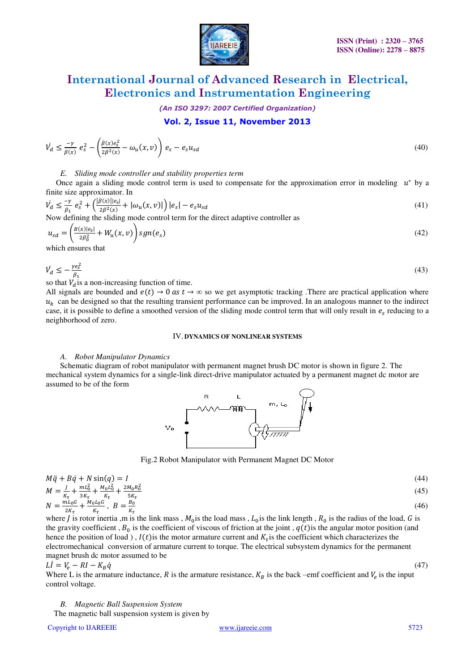

*(An ISO 3297: 2007 Certified Organization)* 

### **Vol. 2, Issue 11, November 2013**

$$
\dot{V}_d \le \frac{-\nu}{\beta(x)} e_s^2 - \left(\frac{\beta(x)e_s^2}{2\beta^2(x)} - \omega_u(x,v)\right) e_s - e_s u_{sd}
$$
\n
$$
(40)
$$

#### *E. Sliding mode controller and stability properties term*

Once again a sliding mode control term is used to compensate for the approximation error in modeling  $u^*$  by a finite size approximator. In

$$
\dot{V}_d \le \frac{-\gamma}{\beta_1} e_s^2 + \left(\frac{|\beta(x)||e_s|}{2\beta^2(x)} + |\omega_u(x, v)|\right) |e_s| - e_s u_{sd}
$$
\n(41)

Now defining the sliding mode control term for the direct adaptive controller as

$$
u_{sd} = \left(\frac{B(x)|e_s|}{2\beta_0^2} + W_u(x,v)\right) sgn(e_s)
$$
\n(42)

which ensures that

$$
\dot{V}_d \le -\frac{\gamma e_s^2}{\beta_1} \tag{43}
$$

so that  $V_d$  is a non-increasing function of time.

All signals are bounded and  $e(t) \to 0$  as  $t \to \infty$  so we get asymptotic tracking. There are practical application where  $u<sub>k</sub>$  can be designed so that the resulting transient performance can be improved. In an analogous manner to the indirect case, it is possible to define a smoothed version of the sliding mode control term that will only result in  $e_s$  reducing to a neighborhood of zero.

#### IV. **DYNAMICS OF NONLINEAR SYSTEMS**

#### *A. Robot Manipulator Dynamics*

 Schematic diagram of robot manipulator with permanent magnet brush DC motor is shown in figure 2. The mechanical system dynamics for a single-link direct-drive manipulator actuated by a permanent magnet dc motor are assumed to be of the form



Fig.2 Robot Manipulator with Permanent Magnet DC Motor

$$
M\ddot{q} + B\dot{q} + N\sin(q) = I
$$
\n
$$
M = \frac{J}{\nu} + \frac{mL_0^2}{\nu} + \frac{M_0L_0^2}{\nu} + \frac{2M_0R_0^2}{\tau}
$$
\n(44)

$$
M = \frac{1}{K_{\tau}} + \frac{1}{3K_{\tau}} + \frac{1}{K_{\tau}} + \frac{1}{5K_{\tau}} + \frac{1}{5K_{\tau}}
$$
  
\n
$$
N = \frac{m_{0}G}{2K_{\tau}} + \frac{M_{0}L_{0}G}{K_{\tau}}, \ B = \frac{B_{0}}{K_{\tau}}
$$
  
\n(46)

where *J* is rotor inertia ,m is the link mass ,  $M_0$  is the load mass ,  $L_0$  is the link length ,  $R_0$  is the radius of the load, *G* is the gravity coefficient,  $B_0$  is the coefficient of viscous of friction at the joint,  $q(t)$  is the angular motor position (and hence the position of load),  $I(t)$  is the motor armature current and  $K<sub>\tau</sub>$  is the coefficient which characterizes the electromechanical conversion of armature current to torque. The electrical subsystem dynamics for the permanent magnet brush dc motor assumed to be

$$
Li = V_e - RI - K_B \dot{q} \tag{47}
$$

Where L is the armature inductance, R is the armature resistance,  $K_B$  is the back –emf coefficient and  $V_e$  is the input control voltage.

*B. Magnetic Ball Suspension System*  The magnetic ball suspension system is given by

Copyright to IJAREEIE www.ijareeie.com 5723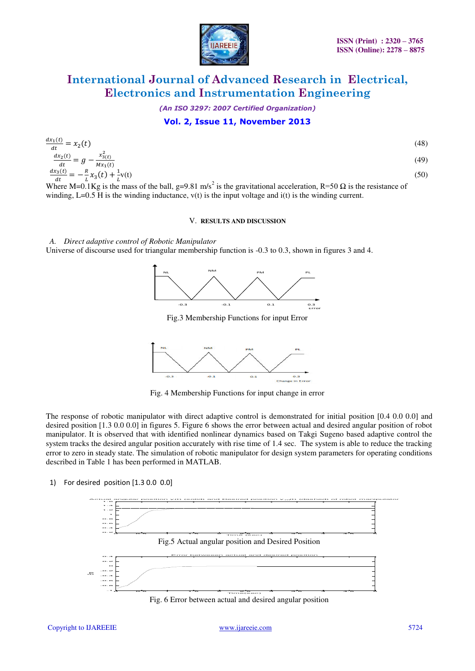

*(An ISO 3297: 2007 Certified Organization)* 

## **Vol. 2, Issue 11, November 2013**

$$
\frac{dx_1(t)}{dt} = x_2(t)
$$
\n(48)  
\n
$$
\frac{dx_2(t)}{dt} = g - \frac{x_{3(t)}^2}{Mx_1(t)}
$$
\n(49)  
\n
$$
\frac{dx_3(t)}{dt} = -\frac{R}{L}x_3(t) + \frac{1}{L}v(t)
$$
\n(50)  
\nWhere M=0.1 Kg is the mass of the bell, g=0.81 m/s<sup>2</sup> is the gravitational acceleration, R=50 O is the resistance of

Where M=0.1Kg is the mass of the ball, g=9.81 m/s<sup>2</sup> is the gravitational acceleration, R=50  $\Omega$  is the resistance of winding, L=0.5 H is the winding inductance,  $v(t)$  is the input voltage and  $i(t)$  is the winding current.

#### V. **RESULTS AND DISCUSSION**

*A. Direct adaptive control of Robotic Manipulator*  Universe of discourse used for triangular membership function is -0.3 to 0.3, shown in figures 3 and 4.



Fig.3 Membership Functions for input Error



Fig. 4 Membership Functions for input change in error

The response of robotic manipulator with direct adaptive control is demonstrated for initial position [0.4 0.0 0.0] and desired position [1.3 0.0 0.0] in figures 5. Figure 6 shows the error between actual and desired angular position of robot manipulator. It is observed that with identified nonlinear dynamics based on Takgi Sugeno based adaptive control the system tracks the desired angular position accurately with rise time of 1.4 sec. The system is able to reduce the tracking error to zero in steady state. The simulation of robotic manipulator for design system parameters for operating conditions described in Table 1 has been performed in MATLAB.

1) For desired position [1.3 0.0 0.0]

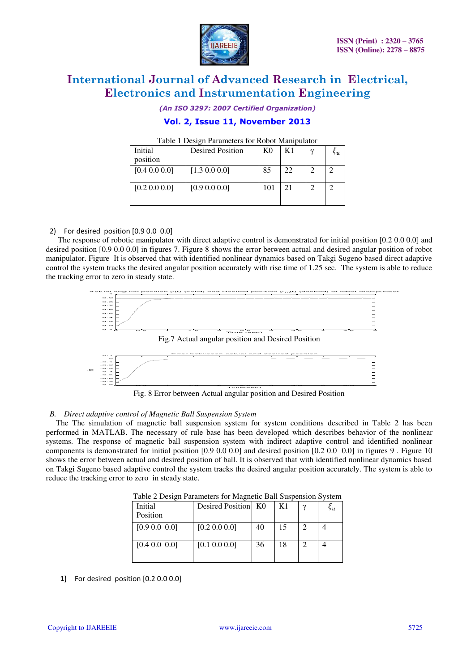

*(An ISO 3297: 2007 Certified Organization)* 

## **Vol. 2, Issue 11, November 2013**

#### Table 1 Design Parameters for Robot Manipulator

| Initial       | <b>Desired Position</b> | K <sub>0</sub> | K1 | $\gamma$ | 5 и |
|---------------|-------------------------|----------------|----|----------|-----|
| position      |                         |                |    |          |     |
| [0.4 0.0 0.0] | $[1.3 \ 0.0 \ 0.0]$     | 85             | 22 |          |     |
|               |                         |                |    |          |     |
| [0.2 0.0 0.0] | [0.9 0.0 0.0]           | 101            | 21 |          |     |
|               |                         |                |    |          |     |
|               |                         |                |    |          |     |

### 2) For desired position [0.9 0.0 0.0]

 The response of robotic manipulator with direct adaptive control is demonstrated for initial position [0.2 0.0 0.0] and desired position [0.9 0.0 0.0] in figures 7. Figure 8 shows the error between actual and desired angular position of robot manipulator. Figure It is observed that with identified nonlinear dynamics based on Takgi Sugeno based direct adaptive control the system tracks the desired angular position accurately with rise time of 1.25 sec. The system is able to reduce the tracking error to zero in steady state.



Fig. 8 Error between Actual angular position and Desired Position

#### *B. Direct adaptive control of Magnetic Ball Suspension System*

 The The simulation of magnetic ball suspension system for system conditions described in Table 2 has been performed in MATLAB. The necessary of rule base has been developed which describes behavior of the nonlinear systems. The response of magnetic ball suspension system with indirect adaptive control and identified nonlinear components is demonstrated for initial position [0.9 0.0 0.0] and desired position [0.2 0.0 0.0] in figures 9 . Figure 10 shows the error between actual and desired position of ball. It is observed that with identified nonlinear dynamics based on Takgi Sugeno based adaptive control the system tracks the desired angular position accurately. The system is able to reduce the tracking error to zero in steady state.

| Tuble = Debight and interest of the glient Built bubbenblon by seem |                     |    |    |  |    |  |  |
|---------------------------------------------------------------------|---------------------|----|----|--|----|--|--|
| Initial<br>Position                                                 | Desired Position K0 |    | K1 |  | ьu |  |  |
| [0.9 0.0 0.0]                                                       | [0.2 0.0 0.0]       | 40 | 15 |  |    |  |  |
| [0.4 0.0 0.0]                                                       | [0.1 0.0 0.0]       | 36 | 18 |  |    |  |  |

Table 2 Design Parameters for Magnetic Ball Suspension System

**1)** For desired position [0.2 0.0 0.0]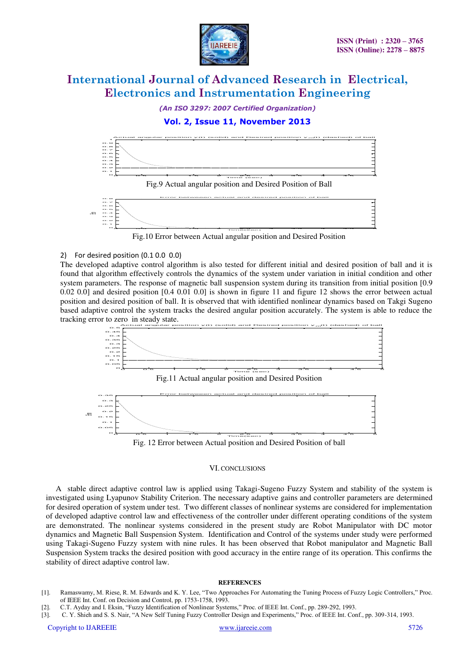

*(An ISO 3297: 2007 Certified Organization)* 

### **Vol. 2, Issue 11, November 2013**



#### 2) For desired position (0.1 0.0 0.0)

The developed adaptive control algorithm is also tested for different initial and desired position of ball and it is found that algorithm effectively controls the dynamics of the system under variation in initial condition and other system parameters. The response of magnetic ball suspension system during its transition from initial position [0.9 0.02 0.0] and desired position [0.4 0.01 0.0] is shown in figure 11 and figure 12 shows the error between actual position and desired position of ball. It is observed that with identified nonlinear dynamics based on Takgi Sugeno based adaptive control the system tracks the desired angular position accurately. The system is able to reduce the tracking error to zero in steady state.



Fig.11 Actual angular position and Desired Position



#### VI. CONCLUSIONS

 A stable direct adaptive control law is applied using Takagi-Sugeno Fuzzy System and stability of the system is investigated using Lyapunov Stability Criterion. The necessary adaptive gains and controller parameters are determined for desired operation of system under test. Two different classes of nonlinear systems are considered for implementation of developed adaptive control law and effectiveness of the controller under different operating conditions of the system are demonstrated. The nonlinear systems considered in the present study are Robot Manipulator with DC motor dynamics and Magnetic Ball Suspension System. Identification and Control of the systems under study were performed using Takagi-Sugeno Fuzzy system with nine rules. It has been observed that Robot manipulator and Magnetic Ball Suspension System tracks the desired position with good accuracy in the entire range of its operation. This confirms the stability of direct adaptive control law.

#### **REFERENCES**

- [1]. Ramaswamy, M. Riese, R. M. Edwards and K. Y. Lee, "Two Approaches For Automating the Tuning Process of Fuzzy Logic Controllers," Proc. of IEEE Int. Conf. on Decision and Control, pp. 1753-1758, 1993.
- [2]. C.T. Ayday and I. Eksin, "Fuzzy Identification of Nonlinear Systems," Proc. of IEEE Int. Conf., pp. 289-292, 1993.
- [3]. C. Y. Shieh and S. S. Nair, "A New Self Tuning Fuzzy Controller Design and Experiments," Proc. of IEEE Int. Conf., pp. 309-314, 1993.